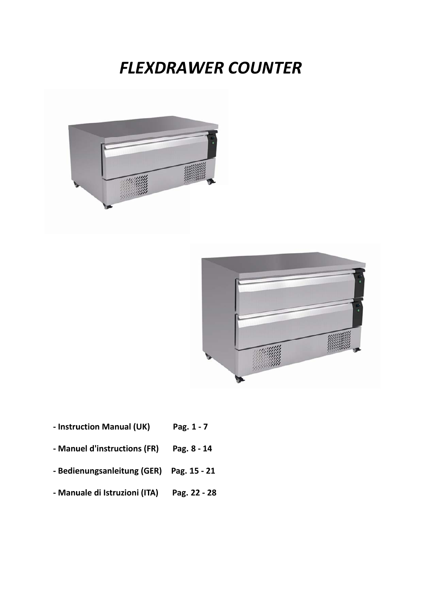# **FLEXDRAWER COUNTER**





- Instruction Manual (UK) Pag. 1 - 7
- Manuel d'instructions (FR) Pag. 8 - 14
- Bedienungsanleitung (GER) Pag. 15 - 21
- Manuale di Istruzioni (ITA) Pag. 22 - 28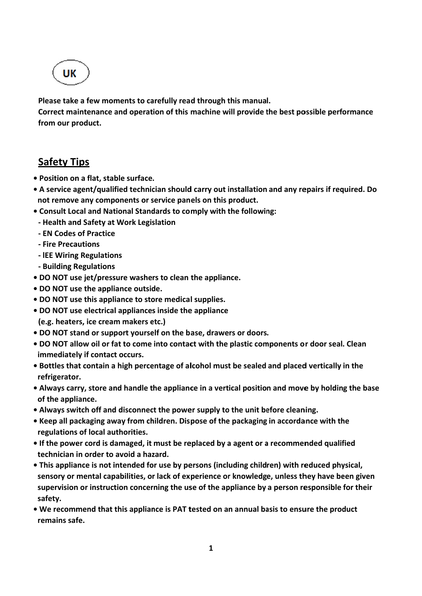UK

Please take a few moments to carefully read through this manual.

Correct maintenance and operation of this machine will provide the best possible performance from our product.

# **Safety Tips**

- · Position on a flat, stable surface.
- A service agent/qualified technician should carry out installation and any repairs if required. Do not remove any components or service panels on this product.
- Consult Local and National Standards to comply with the following:
- Health and Safety at Work Legislation
- EN Codes of Practice
- Fire Precautions
- IEE Wiring Regulations
- Building Regulations
- . DO NOT use jet/pressure washers to clean the appliance.
- . DO NOT use the appliance outside.
- DO NOT use this appliance to store medical supplies.
- DO NOT use electrical appliances inside the appliance (e.g. heaters, ice cream makers etc.)
- . DO NOT stand or support yourself on the base, drawers or doors.
- . DO NOT allow oil or fat to come into contact with the plastic components or door seal. Clean immediately if contact occurs.
- . Bottles that contain a high percentage of alcohol must be sealed and placed vertically in the refrigerator.
- Always carry, store and handle the appliance in a vertical position and move by holding the base of the appliance.
- Always switch off and disconnect the power supply to the unit before cleaning.
- Keep all packaging away from children. Dispose of the packaging in accordance with the regulations of local authorities.
- If the power cord is damaged, it must be replaced by a agent or a recommended qualified technician in order to avoid a hazard.
- This appliance is not intended for use by persons (including children) with reduced physical, sensory or mental capabilities, or lack of experience or knowledge, unless they have been given supervision or instruction concerning the use of the appliance by a person responsible for their safety.
- . We recommend that this appliance is PAT tested on an annual basis to ensure the product remains safe.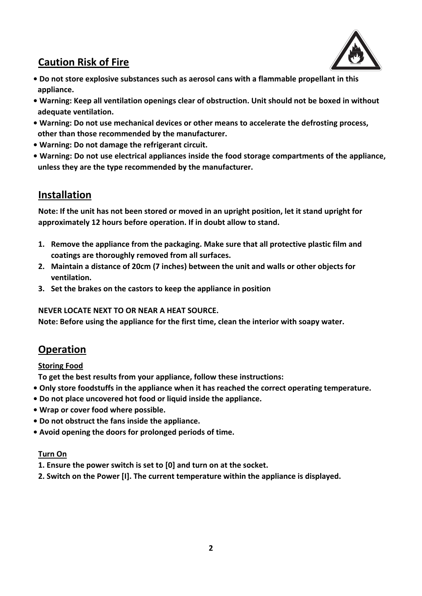# **Caution Risk of Fire**

- **ï Do not store explosive substances such as aerosol cans with a flammable propellant in this appliance.**
- **ï Warning: Keep all ventilation openings clear of obstruction. Unit should not be boxed in without adequate ventilation.**
- **ï Warning: Do not use mechanical devices or other means to accelerate the defrosting process, other than those recommended by the manufacturer.**
- **ï Warning: Do not damage the refrigerant circuit.**
- **ï Warning: Do not use electrical appliances inside the food storage compartments of the appliance, unless they are the type recommended by the manufacturer.**

# **Installation**

Note: If the unit has not been stored or moved in an upright position, let it stand upright for **approximately 12 hours before operation. If in doubt allow to stand.**

- **1. Remove the appliance from the packaging. Make sure that all protective plastic film and coatings are thoroughly removed from all surfaces.**
- **2. Maintain a distance of 20cm (7 inches) between the unit and walls or other objects for ventilation.**
- **3. Set the brakes on the castors to keep the appliance in position**

**NEVER LOCATE NEXT TO OR NEAR A HEAT SOURCE.**

**Note: Before using the appliance for the first time, clean the interior with soapy water.**

# **Operation**

#### **Storing Food**

**To get the best results from your appliance, follow these instructions:**

- **ï Only store foodstuffs in the appliance when it has reached the correct operating temperature.**
- **ï Do not place uncovered hot food or liquid inside the appliance.**
- **ï Wrap or cover food where possible.**
- **ï Do not obstruct the fans inside the appliance.**
- **ï Avoid opening the doors for prolonged periods of time.**

#### **Turn On**

- **1. Ensure the power switch is set to [0] and turn on at the socket.**
- **2. Switch on the Power [I]. The current temperature within the appliance is displayed.**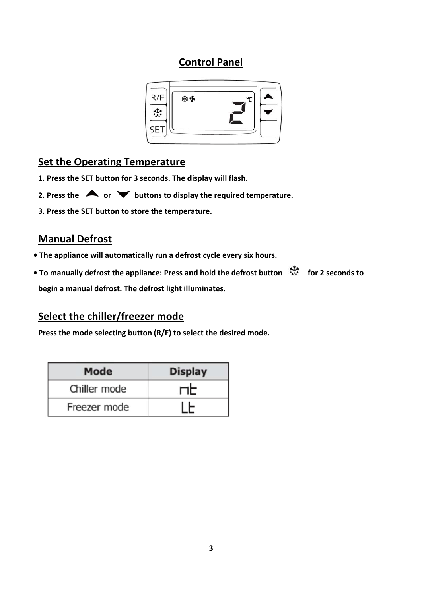# **Control Panel**



# **Set the Operating Temperature**

- 1. Press the SET button for 3 seconds. The display will flash.
- 2. Press the  $\triangle$  or  $\triangledown$  buttons to display the required temperature.
- 3. Press the SET button to store the temperature.

# **Manual Defrost**

- The appliance will automatically run a defrost cycle every six hours.
- To manually defrost the appliance: Press and hold the defrost button \*\*\*\* for 2 seconds to begin a manual defrost. The defrost light illuminates.

# Select the chiller/freezer mode

Press the mode selecting button (R/F) to select the desired mode.

| Mode         | <b>Display</b> |
|--------------|----------------|
| Chiller mode | ПF             |
| Freezer mode |                |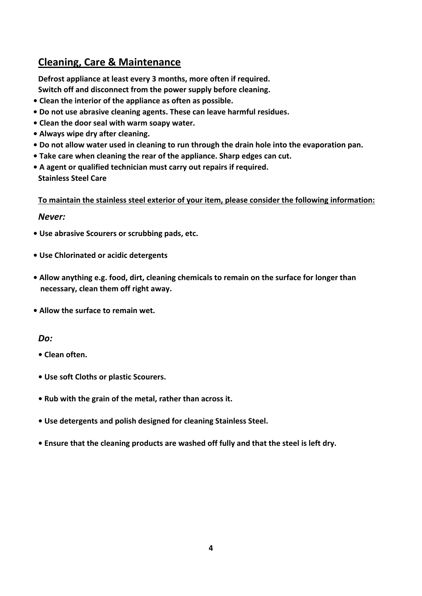# **Cleaning, Care & Maintenance**

**Defrost appliance at least every 3 months, more often if required.** 

**Switch off and disconnect from the power supply before cleaning.**

- **ï Clean the interior of the appliance as often as possible.**
- **ï Do not use abrasive cleaning agents. These can leave harmful residues.**
- **ï Clean the door seal with warm soapy water.**
- **ï Always wipe dry after cleaning.**
- **ï Do not allow water used in cleaning to run through the drain hole into the evaporation pan.**
- **ï Take care when cleaning the rear of the appliance. Sharp edges can cut.**
- **ï A agent or qualified technician must carry out repairs if required. Stainless Steel Care**

**To maintain the stainless steel exterior of your item, please consider the following information:**

#### *Never:*

- **ï Use abrasive Scourers or scrubbing pads, etc.**
- **ï Use Chlorinated or acidic detergents**
- **ï Allow anything e.g. food, dirt, cleaning chemicals to remain on the surface for longer than necessary, clean them off right away.**
- **ï Allow the surface to remain wet.**

#### *Do:*

- **ï Clean often.**
- **ï Use soft Cloths or plastic Scourers.**
- **ï Rub with the grain of the metal, rather than across it.**
- **ï Use detergents and polish designed for cleaning Stainless Steel.**
- **ï Ensure that the cleaning products are washed off fully and that the steel is left dry.**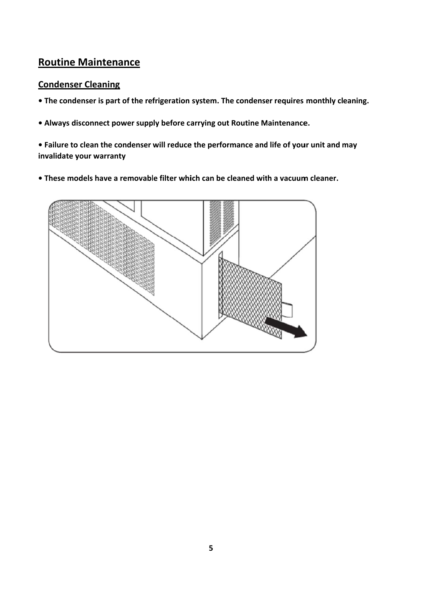# **Routine Maintenance**

#### **Condenser Cleaning**

- The condenser is part of the refrigeration system. The condenser requires monthly cleaning.
- Always disconnect power supply before carrying out Routine Maintenance.
- Failure to clean the condenser will reduce the performance and life of your unit and may invalidate your warranty
- These models have a removable filter which can be cleaned with a vacuum cleaner.

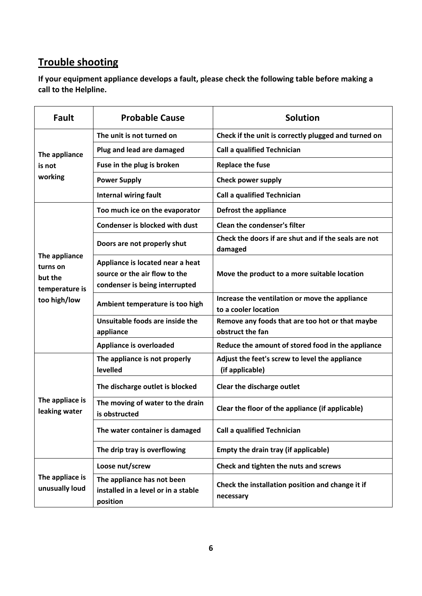# **Trouble shooting**

**If your equipment appliance develops a fault, please check the following table before making a call to the Helpline.**

| <b>Fault</b>                                                           | <b>Probable Cause</b>                                                                               | <b>Solution</b>                                                        |
|------------------------------------------------------------------------|-----------------------------------------------------------------------------------------------------|------------------------------------------------------------------------|
| The appliance                                                          | The unit is not turned on                                                                           | Check if the unit is correctly plugged and turned on                   |
|                                                                        | Plug and lead are damaged                                                                           | <b>Call a qualified Technician</b>                                     |
| is not                                                                 | Fuse in the plug is broken                                                                          | <b>Replace the fuse</b>                                                |
| working                                                                | <b>Power Supply</b>                                                                                 | Check power supply                                                     |
|                                                                        | Internal wiring fault                                                                               | <b>Call a qualified Technician</b>                                     |
|                                                                        | Too much ice on the evaporator                                                                      | <b>Defrost the appliance</b>                                           |
|                                                                        | <b>Condenser is blocked with dust</b>                                                               | Clean the condenser's filter                                           |
| The appliance<br>turns on<br>but the<br>temperature is<br>too high/low | Doors are not properly shut                                                                         | Check the doors if are shut and if the seals are not<br>damaged        |
|                                                                        | Appliance is located near a heat<br>source or the air flow to the<br>condenser is being interrupted | Move the product to a more suitable location                           |
|                                                                        | Ambient temperature is too high                                                                     | Increase the ventilation or move the appliance<br>to a cooler location |
|                                                                        | Unsuitable foods are inside the<br>appliance                                                        | Remove any foods that are too hot or that maybe<br>obstruct the fan    |
|                                                                        | <b>Appliance is overloaded</b>                                                                      | Reduce the amount of stored food in the appliance                      |
| The appliace is<br>leaking water                                       | The appliance is not properly<br>levelled                                                           | Adjust the feet's screw to level the appliance<br>(if applicable)      |
|                                                                        | The discharge outlet is blocked                                                                     | Clear the discharge outlet                                             |
|                                                                        | The moving of water to the drain<br>is obstructed                                                   | Clear the floor of the appliance (if applicable)                       |
|                                                                        | The water container is damaged                                                                      | <b>Call a qualified Technician</b>                                     |
|                                                                        | The drip tray is overflowing                                                                        | Empty the drain tray (if applicable)                                   |
| The appliace is<br>unusually loud                                      | Loose nut/screw                                                                                     | Check and tighten the nuts and screws                                  |
|                                                                        | The appliance has not been<br>installed in a level or in a stable<br>position                       | Check the installation position and change it if<br>necessary          |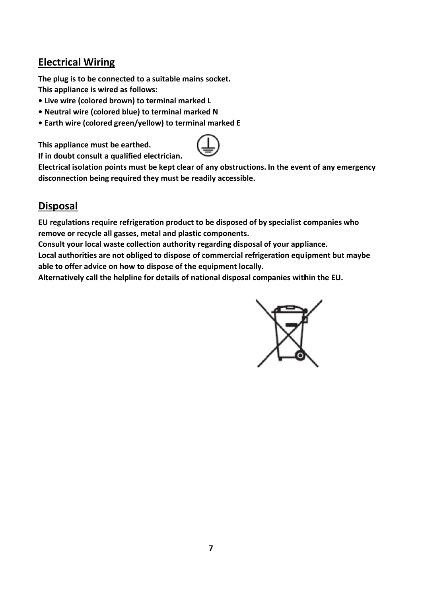# **Electrical Wiring**

The plug is to be connected to a suitable mains socket. This appliance is wired as follows:

- Live wire (colored brown) to terminal marked L
- . Neutral wire (colored blue) to terminal marked N
- Earth wire (colored green/yellow) to terminal marked E

This appliance must be earthed.

If in doubt consult a qualified electrician.



Electrical isolation points must be kept clear of any obstructions. In the event of any emergency disconnection being required they must be readily accessible.

# **Disposal**

EU regulations require refrigeration product to be disposed of by specialist companies who remove or recycle all gasses, metal and plastic components.

Consult your local waste collection authority regarding disposal of your appliance.

Local authorities are not obliged to dispose of commercial refrigeration equipment but maybe able to offer advice on how to dispose of the equipment locally.

Alternatively call the helpline for details of national disposal companies within the EU.

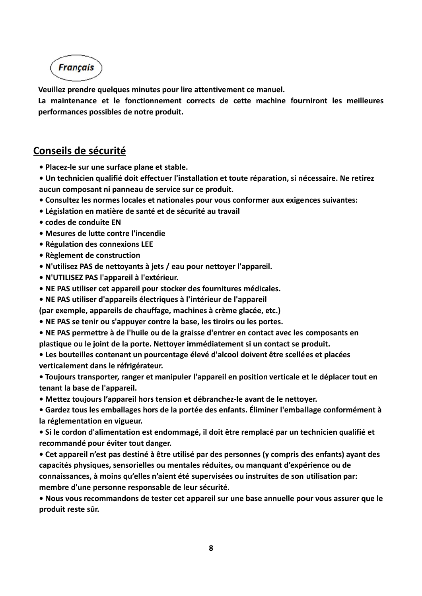**Français** 

Veuillez prendre quelques minutes pour lire attentivement ce manuel.

La maintenance et le fonctionnement corrects de cette machine fourniront les meilleures performances possibles de notre produit.

# Conseils de sécurité

- · Placez-le sur une surface plane et stable.
- · Un technicien qualifié doit effectuer l'installation et toute réparation, si nécessaire. Ne retirez aucun composant ni panneau de service sur ce produit.
- Consultez les normes locales et nationales pour vous conformer aux exigences suivantes:
- Législation en matière de santé et de sécurité au travail
- codes de conduite FN
- Mesures de lutte contre l'incendie
- Régulation des connexions LEE
- Règlement de construction
- . N'utilisez PAS de nettoyants à jets / eau pour nettoyer l'appareil.
- N'UTILISEZ PAS l'appareil à l'extérieur.
- . NE PAS utiliser cet appareil pour stocker des fournitures médicales.
- NE PAS utiliser d'appareils électriques à l'intérieur de l'appareil
- (par exemple, appareils de chauffage, machines à crème glacée, etc.)
- NE PAS se tenir ou s'appuver contre la base, les tiroirs ou les portes.
- NE PAS permettre à de l'huile ou de la graisse d'entrer en contact avec les composants en plastique ou le joint de la porte. Nettoyer immédiatement si un contact se produit.
- Les bouteilles contenant un pourcentage élevé d'alcool doivent être scellées et placées verticalement dans le réfrigérateur.
- Toujours transporter, ranger et manipuler l'appareil en position verticale et le déplacer tout en tenant la base de l'appareil.
- Mettez toujours l'appareil hors tension et débranchez-le avant de le nettoyer.
- Gardez tous les emballages hors de la portée des enfants. Éliminer l'emballage conformément à la réglementation en vigueur.
- Si le cordon d'alimentation est endommagé, il doit être remplacé par un technicien qualifié et recommandé pour éviter tout danger.
- Cet appareil n'est pas destiné à être utilisé par des personnes (y compris des enfants) ayant des capacités physiques, sensorielles ou mentales réduites, ou manquant d'expérience ou de connaissances, à moins qu'elles n'aient été supervisées ou instruites de son utilisation par: membre d'une personne responsable de leur sécurité.
- . Nous vous recommandons de tester cet appareil sur une base annuelle pour vous assurer que le produit reste sûr.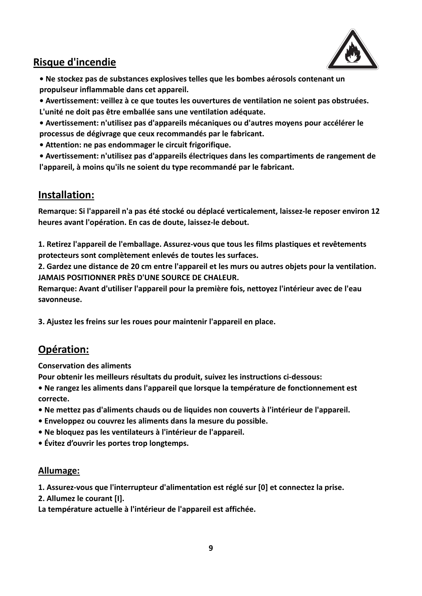

# **Risque d'incendie**

**ï Ne stockez pas de substances explosives telles que les bombes aérosols contenant un propulseur inflammable dans cet appareil.**

**ï Avertissement: veillez à ce que toutes les ouvertures de ventilation ne soient pas obstruées. L'unité ne doit pas être emballée sans une ventilation adéquate.**

- **ï Avertissement: n'utilisez pas d'appareils mécaniques ou d'autres moyens pour accélérer le processus de dégivrage que ceux recommandés par le fabricant.**
- **ï Attention: ne pas endommager le circuit frigorifique.**

**ï Avertissement: n'utilisez pas d'appareils électriques dans les compartiments de rangement de l'appareil, à moins qu'ils ne soient du type recommandé par le fabricant.**

# **Installation:**

**Remarque: Si l'appareil n'a pas été stocké ou déplacé verticalement, laissez‐le reposer environ 12 heures avant l'opération. En cas de doute, laissez‐le debout.**

**1. Retirez l'appareil de l'emballage. Assurez‐vous que tous les films plastiques et revêtements protecteurs sont complètement enlevés de toutes les surfaces.**

**2. Gardez une distance de 20 cm entre l'appareil et les murs ou autres objets pour la ventilation. JAMAIS POSITIONNER PRÈS D'UNE SOURCE DE CHALEUR.**

**Remarque: Avant d'utiliser l'appareil pour la première fois, nettoyez l'intérieur avec de l'eau savonneuse.**

**3. Ajustez les freins sur les roues pour maintenir l'appareil en place.**

# **Opération:**

**Conservation des aliments**

**Pour obtenir les meilleurs résultats du produit, suivez les instructions ci‐dessous:**

- **ï Ne rangez les aliments dans l'appareil que lorsque la température de fonctionnement est correcte.**
- **ï Ne mettez pas d'aliments chauds ou de liquides non couverts à l'intérieur de l'appareil.**
- **ï Enveloppez ou couvrez les aliments dans la mesure du possible.**
- **ï Ne bloquez pas les ventilateurs à l'intérieur de l'appareil.**
- **ï Évitez d'ouvrir les portes trop longtemps.**

#### **Allumage:**

**1. Assurez‐vous que l'interrupteur d'alimentation est réglé sur [0] et connectez la prise.**

**2. Allumez le courant [I].**

**La température actuelle à l'intérieur de l'appareil est affichée.**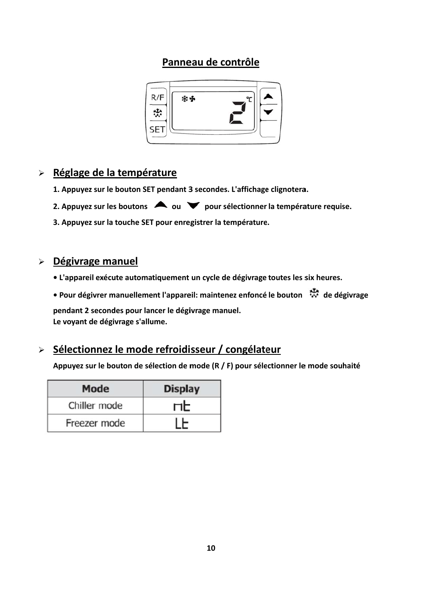# Panneau de contrôle



# > Réglage de la température

- 1. Appuyez sur le bouton SET pendant 3 secondes. L'affichage clignotera.
- 2. Appuyez sur les boutons  $\triangle$  ou  $\triangledown$  pour sélectionner la température requise.
- 3. Appuyez sur la touche SET pour enregistrer la température.

## > Dégivrage manuel

- L'appareil exécute automatiquement un cycle de dégivrage toutes les six heures.
- e Pour dégivrer manuellement l'appareil: maintenez enfoncé le bouton \*\*\*\*\*\*\*\*\*\*\*\*\*\*\*\*\*\*\*\*\*\*\*\*\*\*\*\*\*\*\*

pendant 2 secondes pour lancer le dégivrage manuel. Le voyant de dégivrage s'allume.

# > Sélectionnez le mode refroidisseur / congélateur

Appuyez sur le bouton de sélection de mode (R / F) pour sélectionner le mode souhaité

| <b>Mode</b>  | <b>Display</b> |
|--------------|----------------|
| Chiller mode | ПE             |
| Freezer mode |                |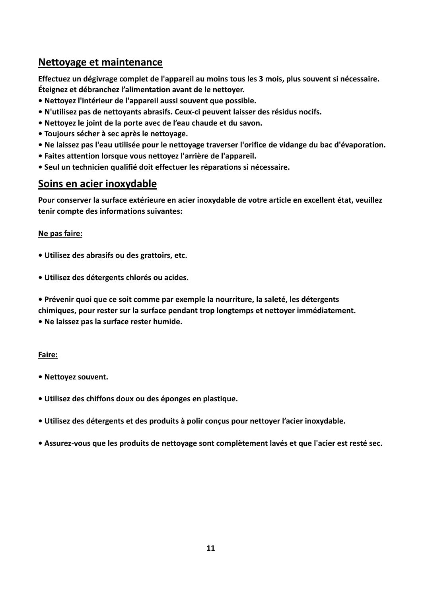# **Nettoyage et maintenance**

**Effectuez un dégivrage complet de l'appareil au moins tous les 3 mois, plus souvent si nécessaire. Éteignez et débranchez l'alimentation avant de le nettoyer.**

- **ï Nettoyez l'intérieur de l'appareil aussi souvent que possible.**
- **ï N'utilisez pas de nettoyants abrasifs. Ceux‐ci peuvent laisser des résidus nocifs.**
- **ï Nettoyez le joint de la porte avec de l'eau chaude et du savon.**
- **ï Toujours sécher à sec après le nettoyage.**
- **ï Ne laissez pas l'eau utilisée pour le nettoyage traverser l'orifice de vidange du bac d'évaporation.**
- **ï Faites attention lorsque vous nettoyez l'arrière de l'appareil.**
- **ï Seul un technicien qualifié doit effectuer les réparations si nécessaire.**

# **Soins en acier inoxydable**

**Pour conserver la surface extérieure en acier inoxydable de votre article en excellent état, veuillez tenir compte des informations suivantes:**

#### **Ne pas faire:**

- **ï Utilisez des abrasifs ou des grattoirs, etc.**
- **ï Utilisez des détergents chlorés ou acides.**

**ï Prévenir quoi que ce soit comme par exemple la nourriture, la saleté, les détergents chimiques, pour rester sur la surface pendant trop longtemps et nettoyer immédiatement. ï Ne laissez pas la surface rester humide.**

#### **Faire:**

- **ï Nettoyez souvent.**
- **ï Utilisez des chiffons doux ou des éponges en plastique.**
- **ï Utilisez des détergents et des produits à polir conçus pour nettoyer l'acier inoxydable.**
- **ï Assurez‐vous que les produits de nettoyage sont complètement lavés et que l'acier est resté sec.**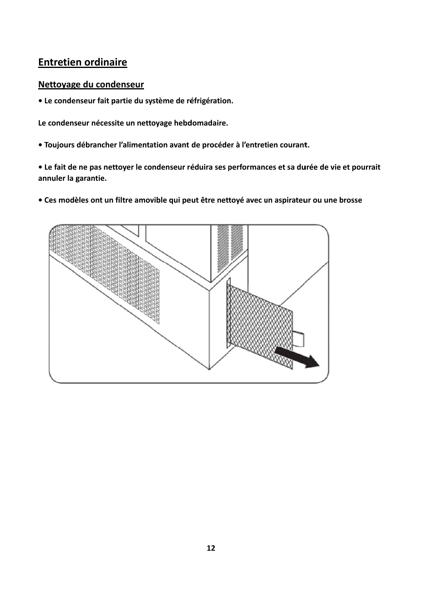# **Entretien ordinaire**

#### Nettoyage du condenseur

• Le condenseur fait partie du système de réfrigération.

Le condenseur nécessite un nettoyage hebdomadaire.

• Toujours débrancher l'alimentation avant de procéder à l'entretien courant.

• Le fait de ne pas nettoyer le condenseur réduira ses performances et sa durée de vie et pourrait annuler la garantie.

• Ces modèles ont un filtre amovible qui peut être nettoyé avec un aspirateur ou une brosse

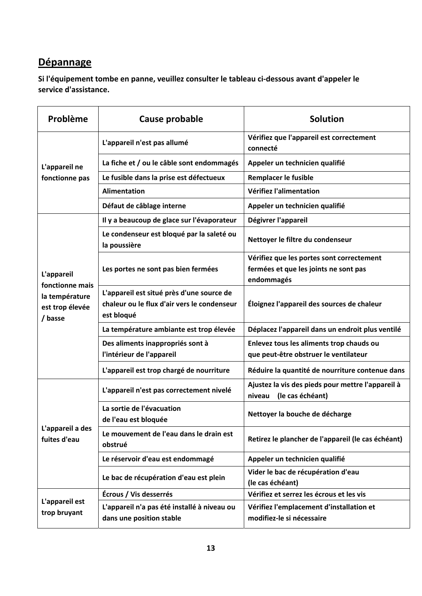# **Dépannage**

**Si l'équipement tombe en panne, veuillez consulter le tableau ci‐dessous avant d'appeler le service d'assistance.**

| Problème                          | Cause probable                                                                                         | <b>Solution</b>                                                                 |
|-----------------------------------|--------------------------------------------------------------------------------------------------------|---------------------------------------------------------------------------------|
|                                   | L'appareil n'est pas allumé                                                                            | Vérifiez que l'appareil est correctement<br>connecté                            |
| L'appareil ne                     | La fiche et / ou le câble sont endommagés                                                              | Appeler un technicien qualifié                                                  |
| fonctionne pas                    | Le fusible dans la prise est défectueux                                                                | Remplacer le fusible                                                            |
|                                   | <b>Alimentation</b>                                                                                    | Vérifiez l'alimentation                                                         |
|                                   | Défaut de câblage interne                                                                              | Appeler un technicien qualifié                                                  |
|                                   | Il y a beaucoup de glace sur l'évaporateur                                                             | Dégivrer l'appareil                                                             |
|                                   | Le condenseur est bloqué par la saleté ou<br>la poussière                                              | Nettoyer le filtre du condenseur                                                |
|                                   |                                                                                                        | Vérifiez que les portes sont correctement                                       |
| L'appareil                        | Les portes ne sont pas bien fermées                                                                    | fermées et que les joints ne sont pas                                           |
| fonctionne mais                   |                                                                                                        | endommagés                                                                      |
| la température<br>est trop élevée | L'appareil est situé près d'une source de<br>chaleur ou le flux d'air vers le condenseur<br>est bloqué | Éloignez l'appareil des sources de chaleur                                      |
| / basse                           | La température ambiante est trop élevée                                                                | Déplacez l'appareil dans un endroit plus ventilé                                |
|                                   | Des aliments inappropriés sont à                                                                       | Enlevez tous les aliments trop chauds ou                                        |
|                                   | l'intérieur de l'appareil                                                                              | que peut-être obstruer le ventilateur                                           |
|                                   | L'appareil est trop chargé de nourriture                                                               | Réduire la quantité de nourriture contenue dans                                 |
|                                   | L'appareil n'est pas correctement nivelé                                                               | Ajustez la vis des pieds pour mettre l'appareil à<br>(le cas échéant)<br>niveau |
| L'appareil a des<br>fuites d'eau  | La sortie de l'évacuation<br>de l'eau est bloquée                                                      | Nettoyer la bouche de décharge                                                  |
|                                   | Le mouvement de l'eau dans le drain est<br>obstrué                                                     | Retirez le plancher de l'appareil (le cas échéant)                              |
|                                   | Le réservoir d'eau est endommagé                                                                       | Appeler un technicien qualifié                                                  |
|                                   | Le bac de récupération d'eau est plein                                                                 | Vider le bac de récupération d'eau                                              |
|                                   |                                                                                                        | (le cas échéant)                                                                |
| L'appareil est                    | Écrous / Vis desserrés                                                                                 | Vérifiez et serrez les écrous et les vis                                        |
| trop bruyant                      | L'appareil n'a pas été installé à niveau ou                                                            | Vérifiez l'emplacement d'installation et                                        |
|                                   | dans une position stable                                                                               | modifiez-le si nécessaire                                                       |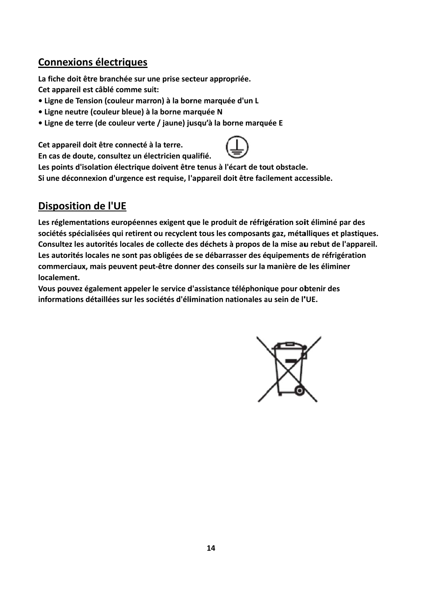# **Connexions électriques**

La fiche doit être branchée sur une prise secteur appropriée. Cet appareil est câblé comme suit:

- · Ligne de Tension (couleur marron) à la borne marquée d'un L
- · Ligne neutre (couleur bleue) à la borne marquée N
- · Ligne de terre (de couleur verte / jaune) jusqu'à la borne marquée E

Cet appareil doit être connecté à la terre.



En cas de doute, consultez un électricien qualifié.

Les points d'isolation électrique doivent être tenus à l'écart de tout obstacle. Si une déconnexion d'urgence est requise, l'appareil doit être facilement accessible.

# **Disposition de l'UE**

Les réglementations européennes exigent que le produit de réfrigération soit éliminé par des sociétés spécialisées qui retirent ou recyclent tous les composants gaz, métalliques et plastiques. Consultez les autorités locales de collecte des déchets à propos de la mise au rebut de l'appareil. Les autorités locales ne sont pas obligées de se débarrasser des équipements de réfrigération commerciaux, mais peuvent peut-être donner des conseils sur la manière de les éliminer localement.

Vous pouvez également appeler le service d'assistance téléphonique pour obtenir des informations détaillées sur les sociétés d'élimination nationales au sein de l'UE.

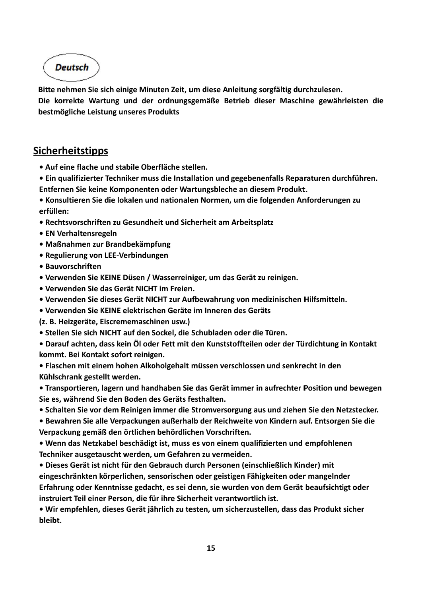**Deutsch** 

Bitte nehmen Sie sich einige Minuten Zeit, um diese Anleitung sorgfältig durchzulesen.

Die korrekte Wartung und der ordnungsgemäße Betrieb dieser Maschine gewährleisten die bestmögliche Leistung unseres Produkts

# **Sicherheitstipps**

- Auf eine flache und stabile Oberfläche stellen.
- Ein qualifizierter Techniker muss die Installation und gegebenenfalls Reparaturen durchführen. Entfernen Sie keine Komponenten oder Wartungsbleche an diesem Produkt.

• Konsultieren Sie die lokalen und nationalen Normen, um die folgenden Anforderungen zu erfüllen:

- Rechtsvorschriften zu Gesundheit und Sicherheit am Arbeitsplatz
- EN Verhaltensregeln
- Maßnahmen zur Brandbekämpfung
- Regulierung von LEE-Verbindungen
- Bauvorschriften
- Verwenden Sie KEINE Düsen / Wasserreiniger, um das Gerät zu reinigen.
- Verwenden Sie das Gerät NICHT im Freien.
- · Verwenden Sie dieses Gerät NICHT zur Aufbewahrung von medizinischen Hilfsmitteln.
- Verwenden Sie KEINE elektrischen Geräte im Inneren des Geräts
- (z. B. Heizgeräte. Eiscrememaschinen usw.)
- Stellen Sie sich NICHT auf den Sockel, die Schubladen oder die Türen.

• Darauf achten, dass kein Öl oder Fett mit den Kunststoffteilen oder der Türdichtung in Kontakt kommt. Bei Kontakt sofort reinigen.

• Flaschen mit einem hohen Alkoholgehalt müssen verschlossen und senkrecht in den Kühlschrank gestellt werden.

• Transportieren, lagern und handhaben Sie das Gerät immer in aufrechter Position und bewegen Sie es, während Sie den Boden des Geräts festhalten.

• Schalten Sie vor dem Reinigen immer die Stromversorgung aus und ziehen Sie den Netzstecker.

· Bewahren Sie alle Verpackungen außerhalb der Reichweite von Kindern auf. Entsorgen Sie die Verpackung gemäß den örtlichen behördlichen Vorschriften.

• Wenn das Netzkabel beschädigt ist, muss es von einem qualifizierten und empfohlenen Techniker ausgetauscht werden, um Gefahren zu vermeiden.

· Dieses Gerät ist nicht für den Gebrauch durch Personen (einschließlich Kinder) mit eingeschränkten körperlichen, sensorischen oder geistigen Fähigkeiten oder mangelnder Erfahrung oder Kenntnisse gedacht, es sei denn, sie wurden von dem Gerät beaufsichtigt oder instruiert Teil einer Person, die für ihre Sicherheit verantwortlich ist.

· Wir empfehlen, dieses Gerät jährlich zu testen, um sicherzustellen, dass das Produkt sicher bleibt.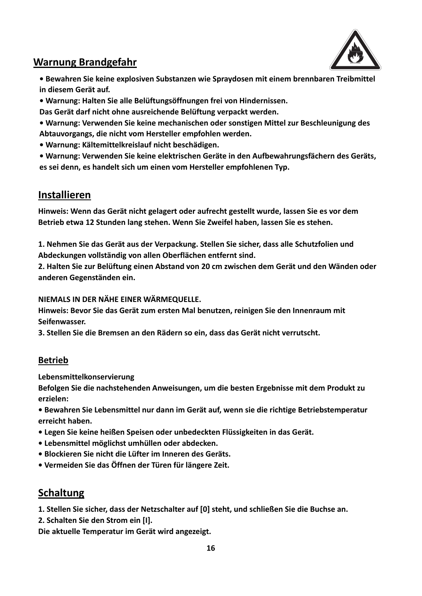

# **Warnung Brandgefahr**

**ï Bewahren Sie keine explosiven Substanzen wie Spraydosen mit einem brennbaren Treibmittel in diesem Gerät auf.**

**ï Warnung: Halten Sie alle Belüftungsöffnungen frei von Hindernissen.**

**Das Gerät darf nicht ohne ausreichende Belüftung verpackt werden.**

- **ï Warnung: Verwenden Sie keine mechanischen oder sonstigen Mittel zur Beschleunigung des Abtauvorgangs, die nicht vom Hersteller empfohlen werden.**
- **ï Warnung: Kältemittelkreislauf nicht beschädigen.**

**ï Warnung: Verwenden Sie keine elektrischen Geräte in den Aufbewahrungsfächern des Geräts, es sei denn, es handelt sich um einen vom Hersteller empfohlenen Typ.**

# **Installieren**

**Hinweis: Wenn das Gerät nicht gelagert oder aufrecht gestellt wurde, lassen Sie es vor dem Betrieb etwa 12 Stunden lang stehen. Wenn Sie Zweifel haben, lassen Sie es stehen.**

**1. Nehmen Sie das Gerät aus der Verpackung. Stellen Sie sicher, dass alle Schutzfolien und Abdeckungen vollständig von allen Oberflächen entfernt sind.**

**2. Halten Sie zur Belüftung einen Abstand von 20 cm zwischen dem Gerät und den Wänden oder anderen Gegenständen ein.**

**NIEMALS IN DER NÄHE EINER WÄRMEQUELLE.**

**Hinweis: Bevor Sie das Gerät zum ersten Mal benutzen, reinigen Sie den Innenraum mit Seifenwasser.**

**3. Stellen Sie die Bremsen an den Rädern so ein, dass das Gerät nicht verrutscht.**

### **Betrieb**

**Lebensmittelkonservierung**

**Befolgen Sie die nachstehenden Anweisungen, um die besten Ergebnisse mit dem Produkt zu erzielen:**

**ï Bewahren Sie Lebensmittel nur dann im Gerät auf, wenn sie die richtige Betriebstemperatur erreicht haben.**

- **ï Legen Sie keine heißen Speisen oder unbedeckten Flüssigkeiten in das Gerät.**
- **ï Lebensmittel möglichst umhüllen oder abdecken.**
- **ï Blockieren Sie nicht die Lüfter im Inneren des Geräts.**
- **ï Vermeiden Sie das Öffnen der Türen für längere Zeit.**

# **Schaltung**

**1. Stellen Sie sicher, dass der Netzschalter auf [0] steht, und schließen Sie die Buchse an.**

**2. Schalten Sie den Strom ein [I].**

**Die aktuelle Temperatur im Gerät wird angezeigt.**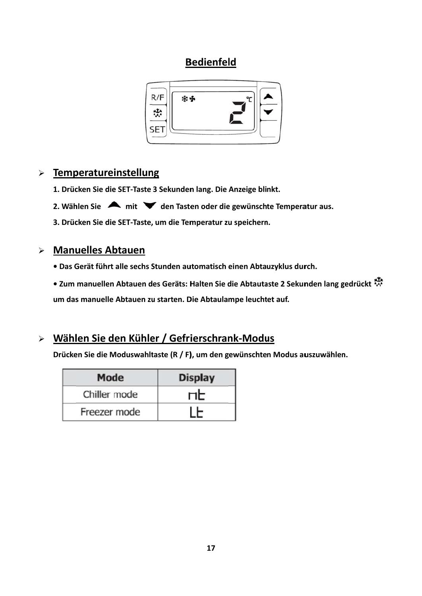# **Bedienfeld**



# $\triangleright$  Temperatureinstellung

- 1. Drücken Sie die SET-Taste 3 Sekunden lang. Die Anzeige blinkt.
- 2. Wählen Sie  $\blacktriangle$  mit  $\blacktriangledown$  den Tasten oder die gewünschte Temperatur aus.

3. Drücken Sie die SET-Taste, um die Temperatur zu speichern.

## > Manuelles Abtauen

- · Das Gerät führt alle sechs Stunden automatisch einen Abtauzyklus durch.
- Zum manuellen Abtauen des Geräts: Halten Sie die Abtautaste 2 Sekunden lang gedrückt

um das manuelle Abtauen zu starten. Die Abtaulampe leuchtet auf.

# > Wählen Sie den Kühler / Gefrierschrank-Modus

Drücken Sie die Moduswahltaste (R / F), um den gewünschten Modus auszuwählen.

| <b>Mode</b>  | <b>Display</b> |
|--------------|----------------|
| Chiller mode | <b>ND</b>      |
| Freezer mode |                |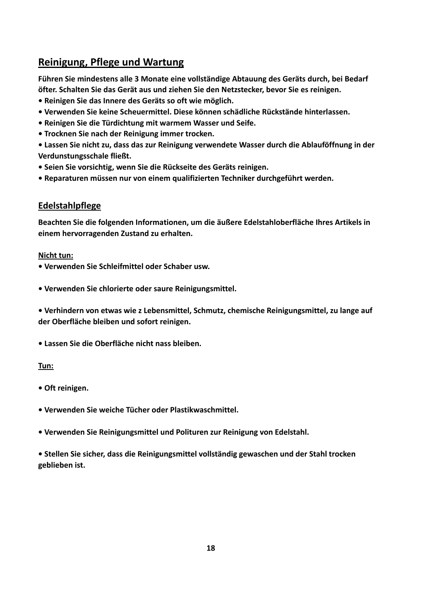# **Reinigung, Pflege und Wartung**

**Führen Sie mindestens alle 3 Monate eine vollständige Abtauung des Geräts durch, bei Bedarf öfter. Schalten Sie das Gerät aus und ziehen Sie den Netzstecker, bevor Sie es reinigen.**

- **ï Reinigen Sie das Innere des Geräts so oft wie möglich.**
- **ï Verwenden Sie keine Scheuermittel. Diese können schädliche Rückstände hinterlassen.**
- **ï Reinigen Sie die Türdichtung mit warmem Wasser und Seife.**
- **ï Trocknen Sie nach der Reinigung immer trocken.**

**ï Lassen Sie nicht zu, dass das zur Reinigung verwendete Wasser durch die Ablauföffnung in der Verdunstungsschale fließt.**

- **ï Seien Sie vorsichtig, wenn Sie die Rückseite des Geräts reinigen.**
- **ï Reparaturen müssen nur von einem qualifizierten Techniker durchgeführt werden.**

#### **Edelstahlpflege**

**Beachten Sie die folgenden Informationen, um die äußere Edelstahloberfläche Ihres Artikels in einem hervorragenden Zustand zu erhalten.**

#### **Nicht tun:**

**ï Verwenden Sie Schleifmittel oder Schaber usw.**

**ï Verwenden Sie chlorierte oder saure Reinigungsmittel.**

**ï Verhindern von etwas wie z Lebensmittel, Schmutz, chemische Reinigungsmittel, zu lange auf der Oberfläche bleiben und sofort reinigen.**

**ï Lassen Sie die Oberfläche nicht nass bleiben.**

#### **Tun:**

- **ï Oft reinigen.**
- **ï Verwenden Sie weiche Tücher oder Plastikwaschmittel.**
- **ï Verwenden Sie Reinigungsmittel und Polituren zur Reinigung von Edelstahl.**

**ï Stellen Sie sicher, dass die Reinigungsmittel vollständig gewaschen und der Stahl trocken geblieben ist.**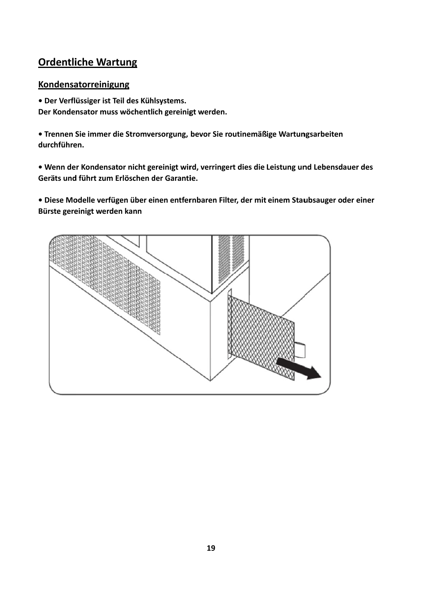# **Ordentliche Wartung**

#### Kondensatorreinigung

· Der Verflüssiger ist Teil des Kühlsystems.

Der Kondensator muss wöchentlich gereinigt werden.

• Trennen Sie immer die Stromversorgung, bevor Sie routinemäßige Wartungsarbeiten durchführen.

· Wenn der Kondensator nicht gereinigt wird, verringert dies die Leistung und Lebensdauer des Geräts und führt zum Erlöschen der Garantie.

· Diese Modelle verfügen über einen entfernbaren Filter, der mit einem Staubsauger oder einer Bürste gereinigt werden kann

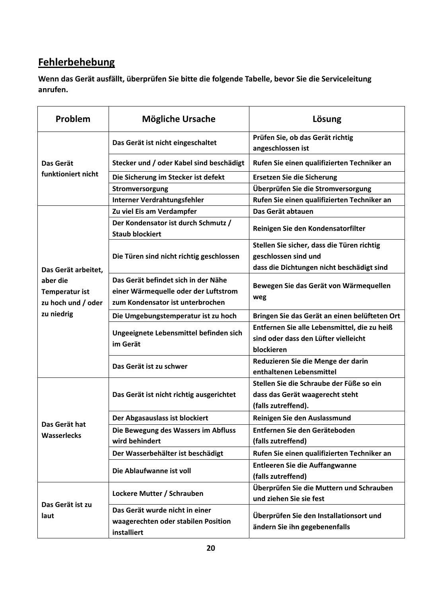# **Fehlerbehebung**

**Wenn das Gerät ausfällt, überprüfen Sie bitte die folgende Tabelle, bevor Sie die Serviceleitung anrufen.**

| Problem                                                 | <b>Mögliche Ursache</b>                                                                                         | Lösung                                                                   |
|---------------------------------------------------------|-----------------------------------------------------------------------------------------------------------------|--------------------------------------------------------------------------|
|                                                         | Das Gerät ist nicht eingeschaltet                                                                               | Prüfen Sie, ob das Gerät richtig<br>angeschlossen ist                    |
| Das Gerät                                               | Stecker und / oder Kabel sind beschädigt                                                                        | Rufen Sie einen qualifizierten Techniker an                              |
| funktioniert nicht                                      | Die Sicherung im Stecker ist defekt                                                                             | <b>Ersetzen Sie die Sicherung</b>                                        |
|                                                         | Stromversorgung                                                                                                 | Überprüfen Sie die Stromversorgung                                       |
|                                                         | Interner Verdrahtungsfehler                                                                                     | Rufen Sie einen qualifizierten Techniker an                              |
|                                                         | Zu viel Eis am Verdampfer                                                                                       | Das Gerät abtauen                                                        |
|                                                         | Der Kondensator ist durch Schmutz /<br><b>Staub blockiert</b>                                                   | Reinigen Sie den Kondensatorfilter                                       |
|                                                         |                                                                                                                 | Stellen Sie sicher, dass die Türen richtig                               |
|                                                         | Die Türen sind nicht richtig geschlossen                                                                        | geschlossen sind und                                                     |
| Das Gerät arbeitet,                                     |                                                                                                                 | dass die Dichtungen nicht beschädigt sind                                |
| aber die<br><b>Temperatur ist</b><br>zu hoch und / oder | Das Gerät befindet sich in der Nähe<br>einer Wärmequelle oder der Luftstrom<br>zum Kondensator ist unterbrochen | Bewegen Sie das Gerät von Wärmequellen<br>weg                            |
| zu niedrig                                              | Die Umgebungstemperatur ist zu hoch                                                                             | Bringen Sie das Gerät an einen belüfteten Ort                            |
|                                                         |                                                                                                                 | Entfernen Sie alle Lebensmittel, die zu heiß                             |
|                                                         | Ungeeignete Lebensmittel befinden sich<br>im Gerät                                                              | sind oder dass den Lüfter vielleicht                                     |
|                                                         |                                                                                                                 | blockieren                                                               |
|                                                         | Das Gerät ist zu schwer                                                                                         | Reduzieren Sie die Menge der darin<br>enthaltenen Lebensmittel           |
|                                                         | Das Gerät ist nicht richtig ausgerichtet<br>Der Abgasauslass ist blockiert                                      | Stellen Sie die Schraube der Füße so ein                                 |
|                                                         |                                                                                                                 | dass das Gerät waagerecht steht                                          |
|                                                         |                                                                                                                 | (falls zutreffend).                                                      |
|                                                         |                                                                                                                 | Reinigen Sie den Auslassmund                                             |
| Das Gerät hat<br><b>Wasserlecks</b>                     | Die Bewegung des Wassers im Abfluss                                                                             | Entfernen Sie den Geräteboden                                            |
|                                                         | wird behindert                                                                                                  | (falls zutreffend)                                                       |
|                                                         | Der Wasserbehälter ist beschädigt                                                                               | Rufen Sie einen qualifizierten Techniker an                              |
|                                                         | Die Ablaufwanne ist voll                                                                                        | Entleeren Sie die Auffangwanne<br>(falls zutreffend)                     |
|                                                         | Lockere Mutter / Schrauben                                                                                      | Überprüfen Sie die Muttern und Schrauben<br>und ziehen Sie sie fest      |
| Das Gerät ist zu                                        | Das Gerät wurde nicht in einer                                                                                  |                                                                          |
| laut                                                    | waagerechten oder stabilen Position<br>installiert                                                              | Überprüfen Sie den Installationsort und<br>ändern Sie ihn gegebenenfalls |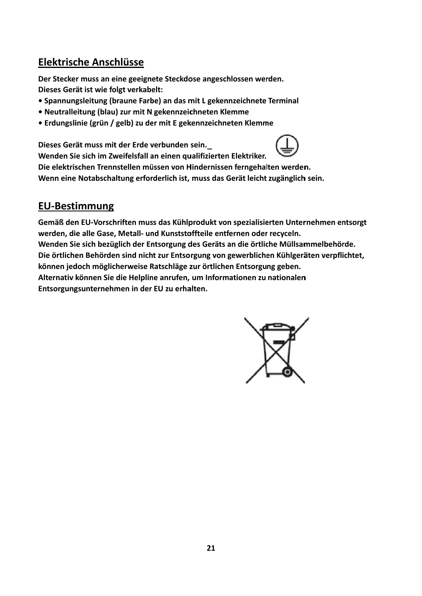# Elektrische Anschlüsse

Der Stecker muss an eine geeignete Steckdose angeschlossen werden. Dieses Gerät ist wie folgt verkabelt:

- Spannungsleitung (braune Farbe) an das mit L gekennzeichnete Terminal
- · Neutralleitung (blau) zur mit N gekennzeichneten Klemme
- Erdungslinie (grün / gelb) zu der mit E gekennzeichneten Klemme

Dieses Gerät muss mit der Erde verbunden sein.



Wenden Sie sich im Zweifelsfall an einen qualifizierten Elektriker. Die elektrischen Trennstellen müssen von Hindernissen ferngehalten werden. Wenn eine Notabschaltung erforderlich ist, muss das Gerät leicht zugänglich sein.

# **EU-Bestimmung**

Gemäß den EU-Vorschriften muss das Kühlprodukt von spezialisierten Unternehmen entsorgt werden, die alle Gase, Metall- und Kunststoffteile entfernen oder recyceln. Wenden Sie sich bezüglich der Entsorgung des Geräts an die örtliche Müllsammelbehörde. Die örtlichen Behörden sind nicht zur Entsorgung von gewerblichen Kühlgeräten verpflichtet, können jedoch möglicherweise Ratschläge zur örtlichen Entsorgung geben. Alternativ können Sie die Helpline anrufen, um Informationen zu nationalen Entsorgungsunternehmen in der EU zu erhalten.

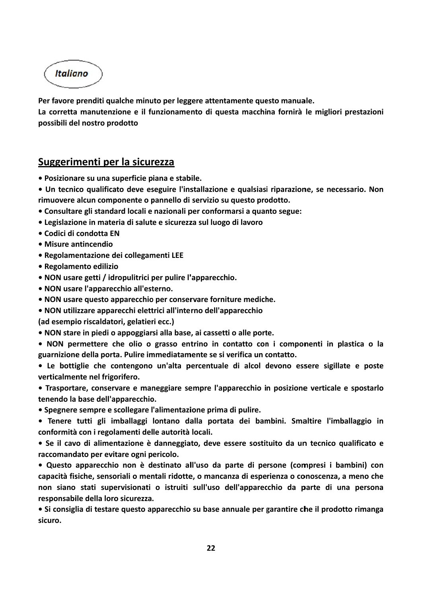Italiano

Per favore prenditi qualche minuto per leggere attentamente questo manuale.

La corretta manutenzione e il funzionamento di questa macchina fornirà le migliori prestazioni **possibili de el nostro pr odotto**

## **Suggerim menti pe er la sicur rezza**

- **Posizionare su una superficie piana e stabile.**
- · Un tecnico qualificato deve eseguire l'installazione e qualsiasi riparazione, se necessario. Non rimuovere alcun componente o pannello di servizio su questo prodotto.
- **ï Consultar re gli standa ard locali e nazionali p per conform marsi a quan nto segue:**
- **ï Legislazio one in mate eria di salut e e sicurezz za sul luogo o di lavoro**
- **ï Codici di condotta E N**
- **ï Misure an ntincendio**
- **ï Regolame entazione d dei collegam menti LEE**
- $\bullet$  Regolamento edilizio
- **ï NON usar re getti / id oropulitrici <sup>p</sup> per pulire l' 'apparecchi io.**
- **ï NON usar re l'apparec cchio all'est terno.**
- **NON** usare questo apparecchio per conservare forniture mediche.
- **ï NON utili izzare appa recchi elett trici all'inte rno dell'ap parecchio**
- **(ad esempi io riscaldato ori, gelatier ri ecc.)**
- **ï NON star re in piedi o appoggiar rsi alla base e, ai cassetti i o alle port te.**
- · NON permettere che olio o grasso entrino in contatto con i componenti in plastica o la **guarnizione e della port ta. Pulire im mmediatam mente se si v verifica un c contatto.**
- · Le bottiglie che contengono un'alta percentuale di alcol devono essere sigillate e poste **verticalmente nel frigorifero.**
- Trasportare, conservare e maneggiare sempre l'apparecchio in posizione verticale e spostarlo **tenendo la base dell'a apparecchio o.**
- **ï Spegnere e sempre e s scollegare l l'alimentazi ione prima di pulire.**
- · Tenere tutti gli imballaggi lontano dalla portata dei bambini. Smaltire l'imballaggio in **conformità à con i regol lamenti del lle autorità locali.**
- · Se il cavo di alimentazione è danneggiato, deve essere sostituito da un tecnico qualificato e **raccomand dato per evi itare ogni p ericolo.**
- · Questo apparecchio non è destinato all'uso da parte di persone (compresi i bambini) con capacità fisiche, sensoriali o mentali ridotte, o mancanza di esperienza o conoscenza, a meno che non siano stati supervisionati o istruiti sull'uso dell'apparecchio da parte di una persona responsabile della loro sicurezza. naeonnea<br>eonnea<br>aa
- · Si consiglia di testare questo apparecchio su base annuale per garantire che il prodotto rimanga **sicuro.**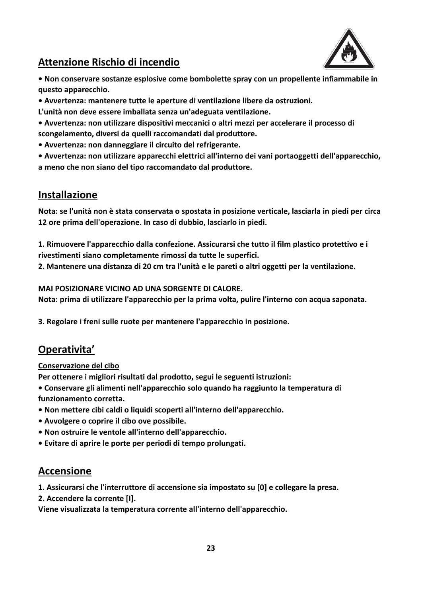

# **Attenzione Rischio di incendio**

**ï Non conservare sostanze esplosive come bombolette spray con un propellente infiammabile in questo apparecchio.**

- **ï Avvertenza: mantenere tutte le aperture di ventilazione libere da ostruzioni.**
- **L'unità non deve essere imballata senza un'adeguata ventilazione.**
- **ï Avvertenza: non utilizzare dispositivi meccanici o altri mezzi per accelerare il processo di scongelamento, diversi da quelli raccomandati dal produttore.**
- **ï Avvertenza: non danneggiare il circuito del refrigerante.**
- **ï Avvertenza: non utilizzare apparecchi elettrici all'interno dei vani portaoggetti dell'apparecchio, a meno che non siano del tipo raccomandato dal produttore.**

# **Installazione**

**Nota: se l'unità non è stata conservata o spostata in posizione verticale, lasciarla in piedi per circa 12 ore prima dell'operazione. In caso di dubbio, lasciarlo in piedi.**

**1. Rimuovere l'apparecchio dalla confezione. Assicurarsi che tutto il film plastico protettivo e i rivestimenti siano completamente rimossi da tutte le superfici.**

**2. Mantenere una distanza di 20 cm tra l'unità e le pareti o altri oggetti per la ventilazione.**

**MAI POSIZIONARE VICINO AD UNA SORGENTE DI CALORE.**

**Nota: prima di utilizzare l'apparecchio per la prima volta, pulire l'interno con acqua saponata.**

**3. Regolare i freni sulle ruote per mantenere l'apparecchio in posizione.**

# **Operativita'**

#### **Conservazione del cibo**

**Per ottenere i migliori risultati dal prodotto, segui le seguenti istruzioni:**

- **ï Conservare gli alimenti nell'apparecchio solo quando ha raggiunto la temperatura di funzionamento corretta.**
- **ï Non mettere cibi caldi o liquidi scoperti all'interno dell'apparecchio.**
- **ï Avvolgere o coprire il cibo ove possibile.**
- **ï Non ostruire le ventole all'interno dell'apparecchio.**
- **ï Evitare di aprire le porte per periodi di tempo prolungati.**

# **Accensione**

**1. Assicurarsi che l'interruttore di accensione sia impostato su [0] e collegare la presa.**

**2. Accendere la corrente [I].** 

**Viene visualizzata la temperatura corrente all'interno dell'apparecchio.**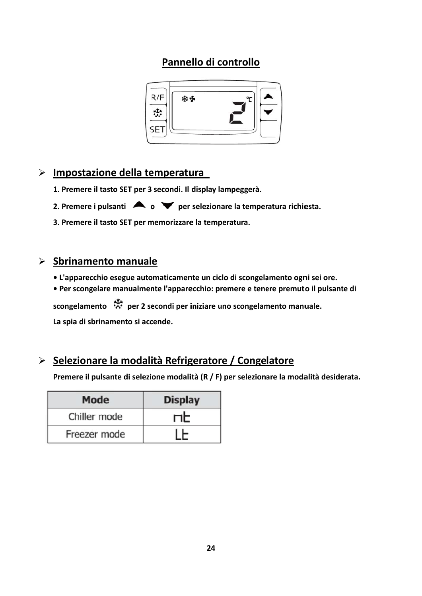# **Pannello** di controllo



# $\triangleright$  **Impostazione** della temperatura

- **1. Prem mere il tasto o SET per 3 secondi. Il display lam mpeggerà.**
- **2.** Premere i pulsanti  $\bullet$  **o**  $\bullet$  **per** selezionare la temperatura richiesta.

**3. Prem mere il tasto o SET per m memorizzare e la temper ratura.**

## $\triangleright$  **Sbrinamento** manuale

- **L'apparecchio esegue automaticamente un ciclo di scongelamento ogni sei ore.**
- · Per scongelare manualmente l'apparecchio: premere e tenere premuto il pulsante di

**sconge elamento per 2 se econdi per i iniziare uno o scongelam mento manu uale.**

**La spia a di sbrinam mento si acc cende.**

# **Selez zionare la a modali ità Refrig geratore / Conge latore**

Premere il pulsante di selezione modalità (R / F) per selezionare la modalità desiderata.

| <b>Mode</b>  | <b>Display</b> |
|--------------|----------------|
| Chiller mode | ПE             |
| Freezer mode |                |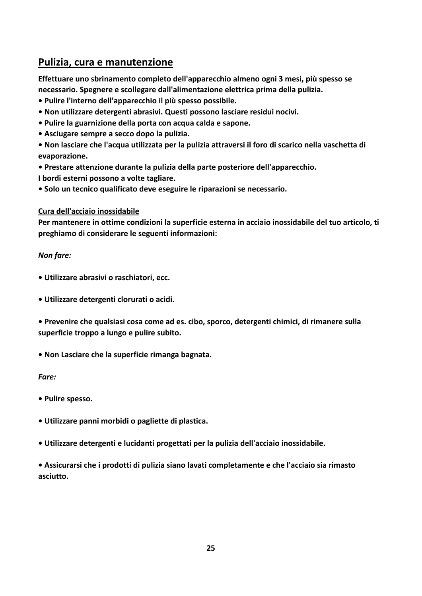# **Pulizia, cura e manutenzione**

**Effettuare uno sbrinamento completo dell'apparecchio almeno ogni 3 mesi, più spesso se necessario. Spegnere e scollegare dall'alimentazione elettrica prima della pulizia.**

- **ï Pulire l'interno dell'apparecchio il più spesso possibile.**
- **ï Non utilizzare detergenti abrasivi. Questi possono lasciare residui nocivi.**
- **ï Pulire la guarnizione della porta con acqua calda e sapone.**
- **ï Asciugare sempre a secco dopo la pulizia.**

**ï Non lasciare che l'acqua utilizzata per la pulizia attraversi il foro di scarico nella vaschetta di evaporazione.**

- **ï Prestare attenzione durante la pulizia della parte posteriore dell'apparecchio.**
- **I bordi esterni possono a volte tagliare.**
- **ï Solo un tecnico qualificato deve eseguire le riparazioni se necessario.**

#### **Cura dell'acciaio inossidabile**

**Per mantenere in ottime condizioni la superficie esterna in acciaio inossidabile del tuo articolo, ti preghiamo di considerare le seguenti informazioni:**

#### *Non fare:*

- **ï Utilizzare abrasivi o raschiatori, ecc.**
- **ï Utilizzare detergenti clorurati o acidi.**
- **ï Prevenire che qualsiasi cosa come ad es. cibo, sporco, detergenti chimici, di rimanere sulla superficie troppo a lungo e pulire subito.**
- **ï Non Lasciare che la superficie rimanga bagnata.**

#### *Fare:*

- **ï Pulire spesso.**
- **ï Utilizzare panni morbidi o pagliette di plastica.**
- **ï Utilizzare detergenti e lucidanti progettati per la pulizia dell'acciaio inossidabile.**

**ï Assicurarsi che i prodotti di pulizia siano lavati completamente e che l'acciaio sia rimasto asciutto.**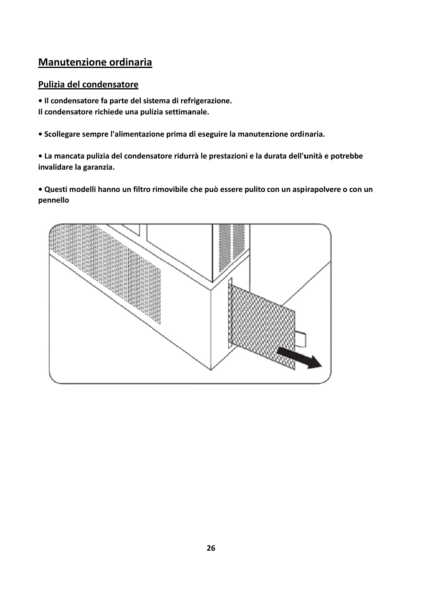# **Manutenzione ordinaria**

## Pulizia del condensatore

· Il condensatore fa parte del sistema di refrigerazione. Il condensatore richiede una pulizia settimanale.

· Scollegare sempre l'alimentazione prima di eseguire la manutenzione ordinaria.

• La mancata pulizia del condensatore ridurrà le prestazioni e la durata dell'unità e potrebbe invalidare la garanzia.

· Questi modelli hanno un filtro rimovibile che può essere pulito con un aspirapolvere o con un pennello

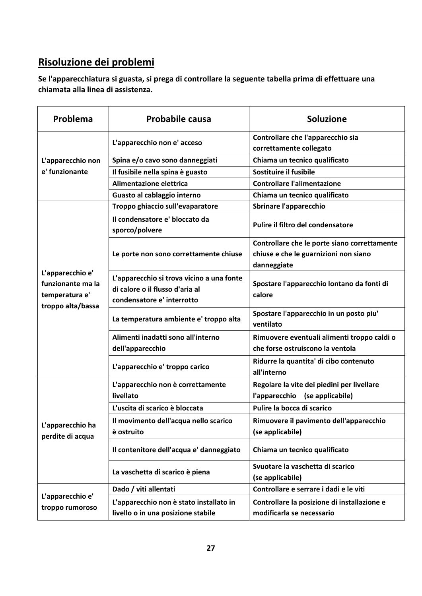# **Risoluzione dei problemi**

**Se l'apparecchiatura si guasta, si prega di controllare la seguente tabella prima di effettuare una chiamata alla linea di assistenza.**

| Problema                              | <b>Probabile causa</b>                           | <b>Soluzione</b>                                      |
|---------------------------------------|--------------------------------------------------|-------------------------------------------------------|
|                                       |                                                  | Controllare che l'apparecchio sia                     |
|                                       | L'apparecchio non e' acceso                      | correttamente collegato                               |
| L'apparecchio non                     | Spina e/o cavo sono danneggiati                  | Chiama un tecnico qualificato                         |
| e' funzionante                        | Il fusibile nella spina è guasto                 | Sostituire il fusibile                                |
|                                       | Alimentazione elettrica                          | <b>Controllare l'alimentazione</b>                    |
|                                       | Guasto al cablaggio interno                      | Chiama un tecnico qualificato                         |
|                                       | Troppo ghiaccio sull'evaparatore                 | <b>Sbrinare l'apparecchio</b>                         |
|                                       | Il condensatore e' bloccato da<br>sporco/polvere | Pulire il filtro del condensatore                     |
|                                       |                                                  | Controllare che le porte siano correttamente          |
|                                       | Le porte non sono correttamente chiuse           | chiuse e che le guarnizioni non siano                 |
|                                       |                                                  | danneggiate                                           |
| L'apparecchio e'<br>funzionante ma la | L'apparecchio si trova vicino a una fonte        | Spostare l'apparecchio lontano da fonti di            |
| temperatura e'                        | di calore o il flusso d'aria al                  | calore                                                |
| troppo alta/bassa                     | condensatore e' interrotto                       |                                                       |
|                                       | La temperatura ambiente e' troppo alta           | Spostare l'apparecchio in un posto piu'<br>ventilato  |
|                                       | Alimenti inadatti sono all'interno               | Rimuovere eventuali alimenti troppo caldi o           |
|                                       | dell'apparecchio                                 | che forse ostruiscono la ventola                      |
|                                       | L'apparecchio e' troppo carico                   | Ridurre la quantita' di cibo contenuto<br>all'interno |
|                                       | L'apparecchio non è correttamente                | Regolare la vite dei piedini per livellare            |
|                                       | livellato                                        | l'apparecchio (se applicabile)                        |
|                                       | L'uscita di scarico è bloccata                   | Pulire la bocca di scarico                            |
|                                       | Il movimento dell'acqua nello scarico            | Rimuovere il pavimento dell'apparecchio               |
| L'apparecchio ha                      | è ostruito                                       | (se applicabile)                                      |
| perdite di acqua                      | Il contenitore dell'acqua e' danneggiato         | Chiama un tecnico qualificato                         |
|                                       | La vaschetta di scarico è piena                  | Svuotare la vaschetta di scarico                      |
|                                       |                                                  | (se applicabile)                                      |
|                                       | Dado / viti allentati                            | Controllare e serrare i dadi e le viti                |
| L'apparecchio e'<br>troppo rumoroso   | L'apparecchio non è stato installato in          | Controllare la posizione di installazione e           |
|                                       | livello o in una posizione stabile               | modificarla se necessario                             |